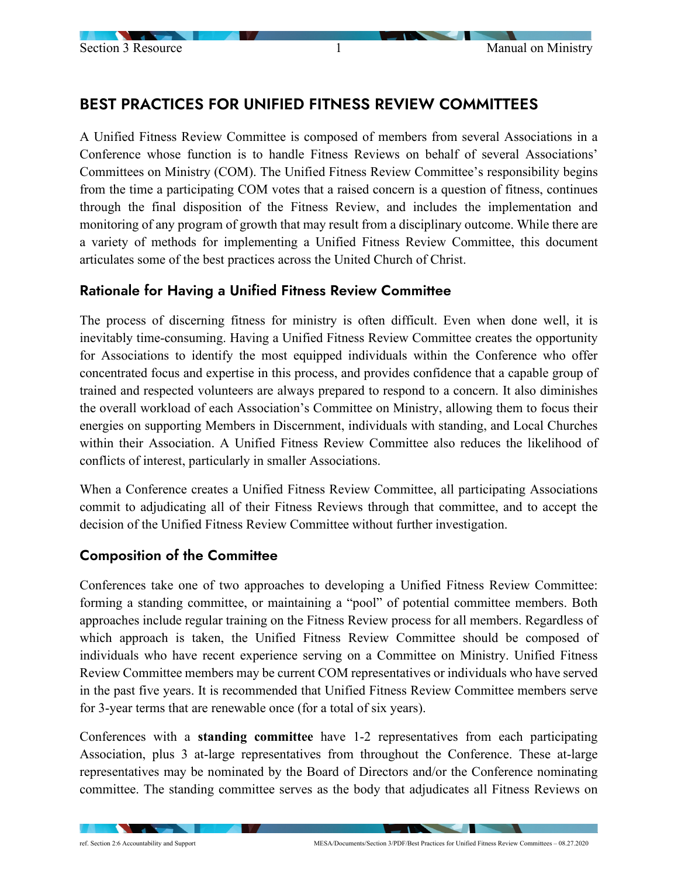# BEST PRACTICES FOR UNIFIED FITNESS REVIEW COMMITTEES

A Unified Fitness Review Committee is composed of members from several Associations in a Conference whose function is to handle Fitness Reviews on behalf of several Associations' Committees on Ministry (COM). The Unified Fitness Review Committee's responsibility begins from the time a participating COM votes that a raised concern is a question of fitness, continues through the final disposition of the Fitness Review, and includes the implementation and monitoring of any program of growth that may result from a disciplinary outcome. While there are a variety of methods for implementing a Unified Fitness Review Committee, this document articulates some of the best practices across the United Church of Christ.

### Rationale for Having a Unified Fitness Review Committee

The process of discerning fitness for ministry is often difficult. Even when done well, it is inevitably time-consuming. Having a Unified Fitness Review Committee creates the opportunity for Associations to identify the most equipped individuals within the Conference who offer concentrated focus and expertise in this process, and provides confidence that a capable group of trained and respected volunteers are always prepared to respond to a concern. It also diminishes the overall workload of each Association's Committee on Ministry, allowing them to focus their energies on supporting Members in Discernment, individuals with standing, and Local Churches within their Association. A Unified Fitness Review Committee also reduces the likelihood of conflicts of interest, particularly in smaller Associations.

When a Conference creates a Unified Fitness Review Committee, all participating Associations commit to adjudicating all of their Fitness Reviews through that committee, and to accept the decision of the Unified Fitness Review Committee without further investigation.

### Composition of the Committee

Conferences take one of two approaches to developing a Unified Fitness Review Committee: forming a standing committee, or maintaining a "pool" of potential committee members. Both approaches include regular training on the Fitness Review process for all members. Regardless of which approach is taken, the Unified Fitness Review Committee should be composed of individuals who have recent experience serving on a Committee on Ministry. Unified Fitness Review Committee members may be current COM representatives or individuals who have served in the past five years. It is recommended that Unified Fitness Review Committee members serve for 3-year terms that are renewable once (for a total of six years).

Conferences with a **standing committee** have 1-2 representatives from each participating Association, plus 3 at-large representatives from throughout the Conference. These at-large representatives may be nominated by the Board of Directors and/or the Conference nominating committee. The standing committee serves as the body that adjudicates all Fitness Reviews on

**Contract Contract Contract Contract**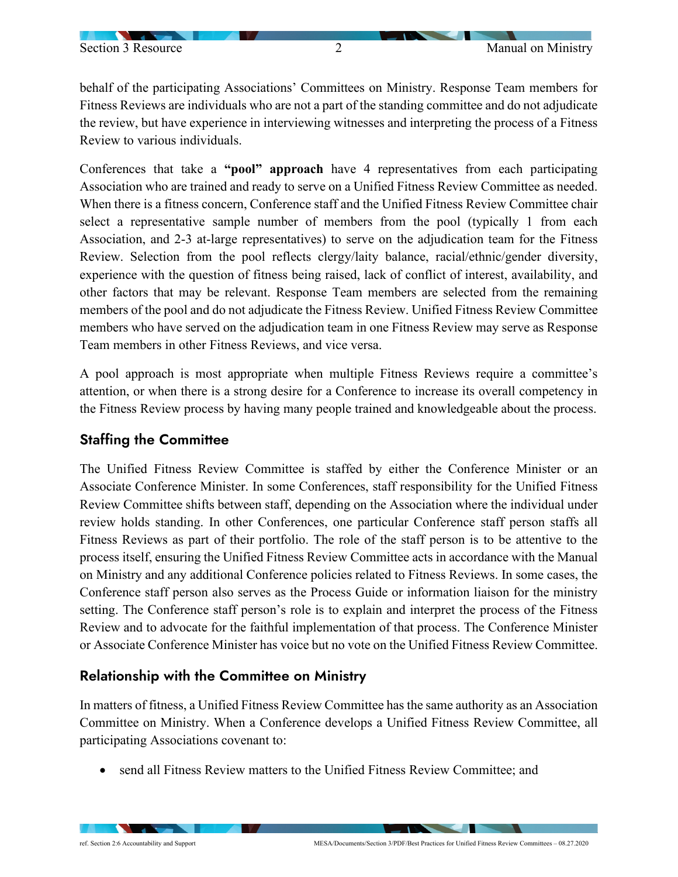behalf of the participating Associations' Committees on Ministry. Response Team members for Fitness Reviews are individuals who are not a part of the standing committee and do not adjudicate the review, but have experience in interviewing witnesses and interpreting the process of a Fitness Review to various individuals.

Conferences that take a **"pool" approach** have 4 representatives from each participating Association who are trained and ready to serve on a Unified Fitness Review Committee as needed. When there is a fitness concern, Conference staff and the Unified Fitness Review Committee chair select a representative sample number of members from the pool (typically 1 from each Association, and 2-3 at-large representatives) to serve on the adjudication team for the Fitness Review. Selection from the pool reflects clergy/laity balance, racial/ethnic/gender diversity, experience with the question of fitness being raised, lack of conflict of interest, availability, and other factors that may be relevant. Response Team members are selected from the remaining members of the pool and do not adjudicate the Fitness Review. Unified Fitness Review Committee members who have served on the adjudication team in one Fitness Review may serve as Response Team members in other Fitness Reviews, and vice versa.

A pool approach is most appropriate when multiple Fitness Reviews require a committee's attention, or when there is a strong desire for a Conference to increase its overall competency in the Fitness Review process by having many people trained and knowledgeable about the process.

### Staffing the Committee

The Unified Fitness Review Committee is staffed by either the Conference Minister or an Associate Conference Minister. In some Conferences, staff responsibility for the Unified Fitness Review Committee shifts between staff, depending on the Association where the individual under review holds standing. In other Conferences, one particular Conference staff person staffs all Fitness Reviews as part of their portfolio. The role of the staff person is to be attentive to the process itself, ensuring the Unified Fitness Review Committee acts in accordance with the Manual on Ministry and any additional Conference policies related to Fitness Reviews. In some cases, the Conference staff person also serves as the Process Guide or information liaison for the ministry setting. The Conference staff person's role is to explain and interpret the process of the Fitness Review and to advocate for the faithful implementation of that process. The Conference Minister or Associate Conference Minister has voice but no vote on the Unified Fitness Review Committee.

#### Relationship with the Committee on Ministry

In matters of fitness, a Unified Fitness Review Committee has the same authority as an Association Committee on Ministry. When a Conference develops a Unified Fitness Review Committee, all participating Associations covenant to:

• send all Fitness Review matters to the Unified Fitness Review Committee: and

**CONTRACTOR** 

 $\sim$